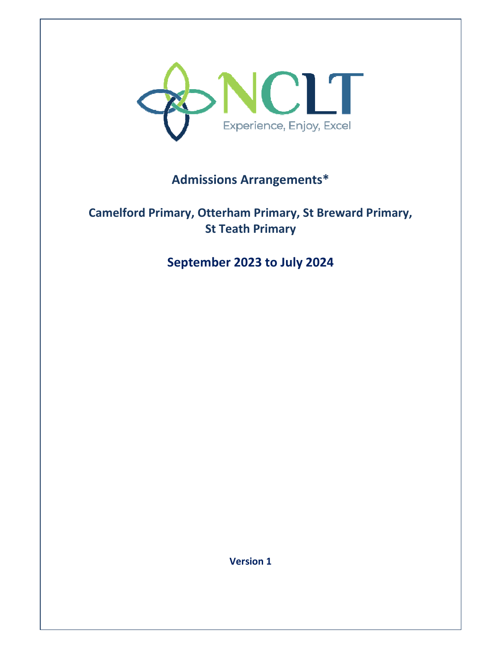

# **Admissions Arrangements\***

# **Camelford Primary, Otterham Primary, St Breward Primary, St Teath Primary**

# **September 2023 to July 2024**

**Version 1**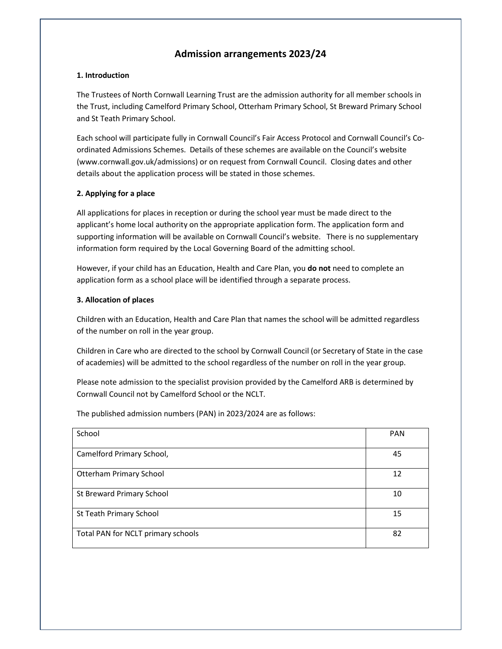# **Admission arrangements 2023/24**

# **1. Introduction**

The Trustees of North Cornwall Learning Trust are the admission authority for all member schools in the Trust, including Camelford Primary School, Otterham Primary School, St Breward Primary School and St Teath Primary School.

Each school will participate fully in Cornwall Council's Fair Access Protocol and Cornwall Council's Coordinated Admissions Schemes. Details of these schemes are available on the Council's website (www.cornwall.gov.uk/admissions) or on request from Cornwall Council. Closing dates and other details about the application process will be stated in those schemes.

# **2. Applying for a place**

All applications for places in reception or during the school year must be made direct to the applicant's home local authority on the appropriate application form. The application form and supporting information will be available on Cornwall Council's website. There is no supplementary information form required by the Local Governing Board of the admitting school.

However, if your child has an Education, Health and Care Plan, you **do not** need to complete an application form as a school place will be identified through a separate process.

# **3. Allocation of places**

Children with an Education, Health and Care Plan that names the school will be admitted regardless of the number on roll in the year group.

Children in Care who are directed to the school by Cornwall Council (or Secretary of State in the case of academies) will be admitted to the school regardless of the number on roll in the year group.

Please note admission to the specialist provision provided by the Camelford ARB is determined by Cornwall Council not by Camelford School or the NCLT.

The published admission numbers (PAN) in 2023/2024 are as follows:

| School                             | <b>PAN</b> |
|------------------------------------|------------|
|                                    |            |
| Camelford Primary School,          | 45         |
|                                    |            |
| <b>Otterham Primary School</b>     | 12         |
|                                    |            |
| <b>St Breward Primary School</b>   | 10         |
|                                    |            |
| St Teath Primary School            | 15         |
|                                    |            |
| Total PAN for NCLT primary schools | 82         |
|                                    |            |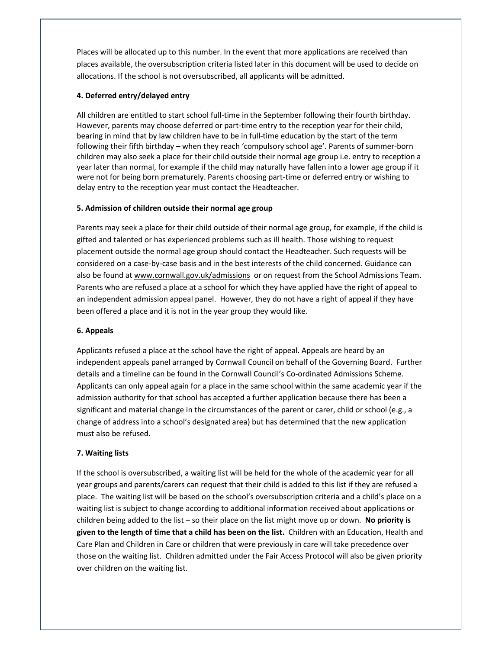Places will be allocated up to this number. In the event that more applications are received than places available, the oversubscription criteria listed later in this document will be used to decide on allocations. If the school is not oversubscribed, all applicants will be admitted.

# **4. Deferred entry/delayed entry**

All children are entitled to start school full-time in the September following their fourth birthday. However, parents may choose deferred or part-time entry to the reception year for their child, bearing in mind that by law children have to be in full-time education by the start of the term following their fifth birthday – when they reach 'compulsory school age'. Parents of summer-born children may also seek a place for their child outside their normal age group i.e. entry to reception a year later than normal, for example if the child may naturally have fallen into a lower age group if it were not for being born prematurely. Parents choosing part-time or deferred entry or wishing to delay entry to the reception year must contact the Headteacher.

# **5. Admission of children outside their normal age group**

Parents may seek a place for their child outside of their normal age group, for example, if the child is gifted and talented or has experienced problems such as ill health. Those wishing to request placement outside the normal age group should contact the Headteacher. Such requests will be considered on a case-by-case basis and in the best interests of the child concerned. Guidance can also be found at www.cornwall.gov.uk/admissions or on request from the School Admissions Team. Parents who are refused a place at a school for which they have applied have the right of appeal to an independent admission appeal panel. However, they do not have a right of appeal if they have been offered a place and it is not in the year group they would like.

# **6. Appeals**

Applicants refused a place at the school have the right of appeal. Appeals are heard by an independent appeals panel arranged by Cornwall Council on behalf of the Governing Board. Further details and a timeline can be found in the Cornwall Council's Co-ordinated Admissions Scheme. Applicants can only appeal again for a place in the same school within the same academic year if the admission authority for that school has accepted a further application because there has been a significant and material change in the circumstances of the parent or carer, child or school (e.g., a change of address into a school's designated area) but has determined that the new application must also be refused.

# **7. Waiting lists**

If the school is oversubscribed, a waiting list will be held for the whole of the academic year for all year groups and parents/carers can request that their child is added to this list if they are refused a place. The waiting list will be based on the school's oversubscription criteria and a child's place on a waiting list is subject to change according to additional information received about applications or children being added to the list – so their place on the list might move up or down. **No priority is given to the length of time that a child has been on the list.** Children with an Education, Health and Care Plan and Children in Care or children that were previously in care will take precedence over those on the waiting list. Children admitted under the Fair Access Protocol will also be given priority over children on the waiting list.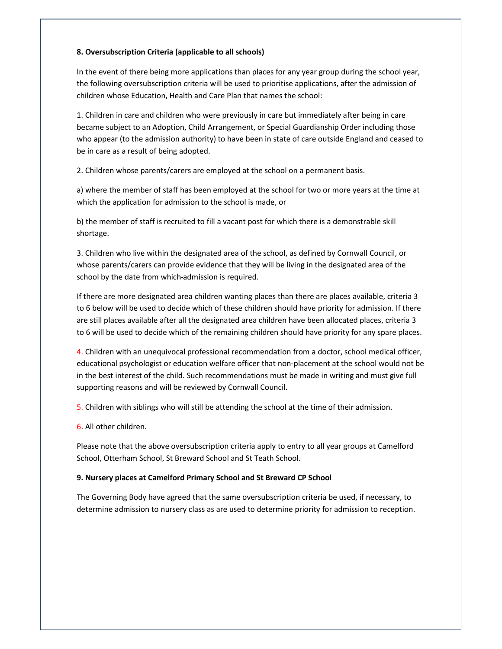# **8. Oversubscription Criteria (applicable to all schools)**

In the event of there being more applications than places for any year group during the school year, the following oversubscription criteria will be used to prioritise applications, after the admission of children whose Education, Health and Care Plan that names the school:

1. Children in care and children who were previously in care but immediately after being in care became subject to an Adoption, Child Arrangement, or Special Guardianship Order including those who appear (to the admission authority) to have been in state of care outside England and ceased to be in care as a result of being adopted.

2. Children whose parents/carers are employed at the school on a permanent basis.

a) where the member of staff has been employed at the school for two or more years at the time at which the application for admission to the school is made, or

b) the member of staff is recruited to fill a vacant post for which there is a demonstrable skill shortage.

3. Children who live within the designated area of the school, as defined by Cornwall Council, or whose parents/carers can provide evidence that they will be living in the designated area of the school by the date from which admission is required.

If there are more designated area children wanting places than there are places available, criteria 3 to 6 below will be used to decide which of these children should have priority for admission. If there are still places available after all the designated area children have been allocated places, criteria 3 to 6 will be used to decide which of the remaining children should have priority for any spare places.

4. Children with an unequivocal professional recommendation from a doctor, school medical officer, educational psychologist or education welfare officer that non-placement at the school would not be in the best interest of the child. Such recommendations must be made in writing and must give full supporting reasons and will be reviewed by Cornwall Council.

5. Children with siblings who will still be attending the school at the time of their admission.

6. All other children.

Please note that the above oversubscription criteria apply to entry to all year groups at Camelford School, Otterham School, St Breward School and St Teath School.

#### **9. Nursery places at Camelford Primary School and St Breward CP School**

The Governing Body have agreed that the same oversubscription criteria be used, if necessary, to determine admission to nursery class as are used to determine priority for admission to reception.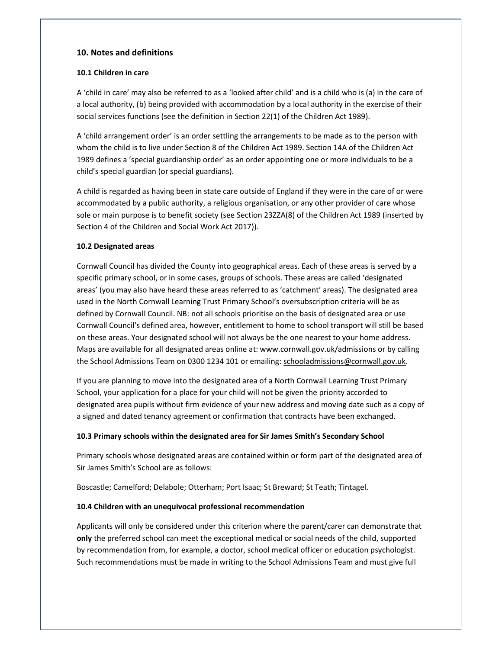# **10. Notes and definitions**

#### **10.1 Children in care**

A 'child in care' may also be referred to as a 'looked after child' and is a child who is (a) in the care of a local authority, (b) being provided with accommodation by a local authority in the exercise of their social services functions (see the definition in Section 22(1) of the Children Act 1989).

A 'child arrangement order' is an order settling the arrangements to be made as to the person with whom the child is to live under Section 8 of the Children Act 1989. Section 14A of the Children Act 1989 defines a 'special guardianship order' as an order appointing one or more individuals to be a child's special guardian (or special guardians).

A child is regarded as having been in state care outside of England if they were in the care of or were accommodated by a public authority, a religious organisation, or any other provider of care whose sole or main purpose is to benefit society (see Section 23ZZA(8) of the Children Act 1989 (inserted by Section 4 of the Children and Social Work Act 2017)).

# **10.2 Designated areas**

Cornwall Council has divided the County into geographical areas. Each of these areas is served by a specific primary school, or in some cases, groups of schools. These areas are called 'designated areas' (you may also have heard these areas referred to as 'catchment' areas). The designated area used in the North Cornwall Learning Trust Primary School's oversubscription criteria will be as defined by Cornwall Council. NB: not all schools prioritise on the basis of designated area or use Cornwall Council's defined area, however, entitlement to home to school transport will still be based on these areas. Your designated school will not always be the one nearest to your home address. Maps are available for all designated areas online at: www.cornwall.gov.uk/admissions or by calling the School Admissions Team on 0300 1234 101 or emailing: schooladmissions@cornwall.gov.uk.

If you are planning to move into the designated area of a North Cornwall Learning Trust Primary School, your application for a place for your child will not be given the priority accorded to designated area pupils without firm evidence of your new address and moving date such as a copy of a signed and dated tenancy agreement or confirmation that contracts have been exchanged.

#### **10.3 Primary schools within the designated area for Sir James Smith's Secondary School**

Primary schools whose designated areas are contained within or form part of the designated area of Sir James Smith's School are as follows:

Boscastle; Camelford; Delabole; Otterham; Port Isaac; St Breward; St Teath; Tintagel.

# **10.4 Children with an unequivocal professional recommendation**

Applicants will only be considered under this criterion where the parent/carer can demonstrate that **only** the preferred school can meet the exceptional medical or social needs of the child, supported by recommendation from, for example, a doctor, school medical officer or education psychologist. Such recommendations must be made in writing to the School Admissions Team and must give full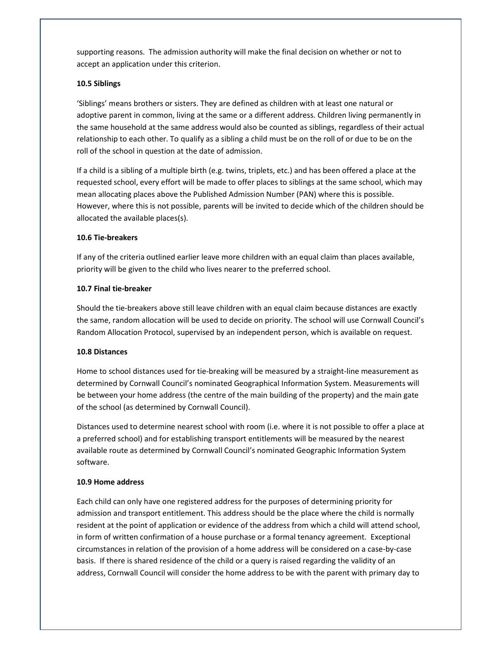supporting reasons. The admission authority will make the final decision on whether or not to accept an application under this criterion.

# **10.5 Siblings**

'Siblings' means brothers or sisters. They are defined as children with at least one natural or adoptive parent in common, living at the same or a different address. Children living permanently in the same household at the same address would also be counted as siblings, regardless of their actual relationship to each other. To qualify as a sibling a child must be on the roll of or due to be on the roll of the school in question at the date of admission.

If a child is a sibling of a multiple birth (e.g. twins, triplets, etc.) and has been offered a place at the requested school, every effort will be made to offer places to siblings at the same school, which may mean allocating places above the Published Admission Number (PAN) where this is possible. However, where this is not possible, parents will be invited to decide which of the children should be allocated the available places(s).

# **10.6 Tie-breakers**

If any of the criteria outlined earlier leave more children with an equal claim than places available, priority will be given to the child who lives nearer to the preferred school.

# **10.7 Final tie-breaker**

Should the tie-breakers above still leave children with an equal claim because distances are exactly the same, random allocation will be used to decide on priority. The school will use Cornwall Council's Random Allocation Protocol, supervised by an independent person, which is available on request.

# **10.8 Distances**

Home to school distances used for tie-breaking will be measured by a straight-line measurement as determined by Cornwall Council's nominated Geographical Information System. Measurements will be between your home address (the centre of the main building of the property) and the main gate of the school (as determined by Cornwall Council).

Distances used to determine nearest school with room (i.e. where it is not possible to offer a place at a preferred school) and for establishing transport entitlements will be measured by the nearest available route as determined by Cornwall Council's nominated Geographic Information System software.

# **10.9 Home address**

Each child can only have one registered address for the purposes of determining priority for admission and transport entitlement. This address should be the place where the child is normally resident at the point of application or evidence of the address from which a child will attend school, in form of written confirmation of a house purchase or a formal tenancy agreement. Exceptional circumstances in relation of the provision of a home address will be considered on a case-by-case basis. If there is shared residence of the child or a query is raised regarding the validity of an address, Cornwall Council will consider the home address to be with the parent with primary day to